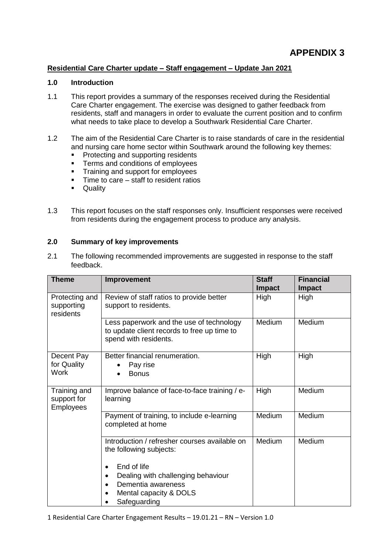#### **Residential Care Charter update – Staff engagement – Update Jan 2021**

## **1.0 Introduction**

- 1.1 This report provides a summary of the responses received during the Residential Care Charter engagement. The exercise was designed to gather feedback from residents, staff and managers in order to evaluate the current position and to confirm what needs to take place to develop a Southwark Residential Care Charter.
- 1.2 The aim of the Residential Care Charter is to raise standards of care in the residential and nursing care home sector within Southwark around the following key themes:
	- **Protecting and supporting residents**
	- Terms and conditions of employees
	- **Training and support for employees**
	- $\blacksquare$  Time to care staff to resident ratios
	- **-** Quality
- 1.3 This report focuses on the staff responses only. Insufficient responses were received from residents during the engagement process to produce any analysis.

## **2.0 Summary of key improvements**

2.1 The following recommended improvements are suggested in response to the staff feedback.

| <b>Theme</b>                                    | Improvement                                                                                                                                                                                   | <b>Staff</b><br><b>Impact</b> | <b>Financial</b><br><b>Impact</b> |
|-------------------------------------------------|-----------------------------------------------------------------------------------------------------------------------------------------------------------------------------------------------|-------------------------------|-----------------------------------|
| Protecting and<br>supporting<br>residents       | Review of staff ratios to provide better<br>support to residents.                                                                                                                             | High                          | High                              |
|                                                 | Less paperwork and the use of technology<br>to update client records to free up time to<br>spend with residents.                                                                              | Medium                        | Medium                            |
| Decent Pay<br>for Quality<br><b>Work</b>        | Better financial renumeration.<br>Pay rise<br><b>Bonus</b>                                                                                                                                    | High                          | High                              |
| Training and<br>support for<br><b>Employees</b> | Improve balance of face-to-face training / e-<br>learning                                                                                                                                     | High                          | Medium                            |
|                                                 | Payment of training, to include e-learning<br>completed at home                                                                                                                               | Medium                        | Medium                            |
|                                                 | Introduction / refresher courses available on<br>the following subjects:<br>End of life<br>Dealing with challenging behaviour<br>Dementia awareness<br>Mental capacity & DOLS<br>Safeguarding | Medium                        | Medium                            |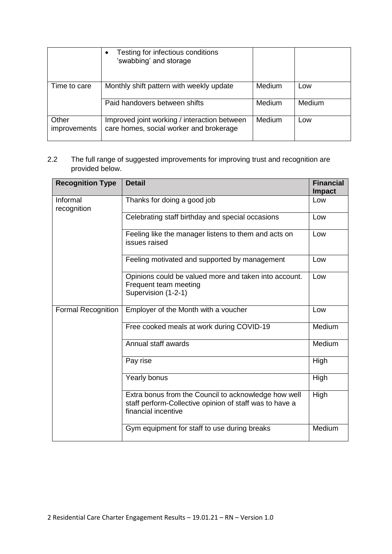|                              | Testing for infectious conditions<br>$\bullet$<br>'swabbing' and storage                |        |        |
|------------------------------|-----------------------------------------------------------------------------------------|--------|--------|
| Time to care                 | Monthly shift pattern with weekly update                                                | Medium | Low    |
|                              | Paid handovers between shifts                                                           | Medium | Medium |
| Other<br><i>improvements</i> | Improved joint working / interaction between<br>care homes, social worker and brokerage | Medium | Low    |

### 2.2 The full range of suggested improvements for improving trust and recognition are provided below.

| <b>Recognition Type</b>   | <b>Detail</b>                                                                                                                          | <b>Financial</b><br><b>Impact</b> |
|---------------------------|----------------------------------------------------------------------------------------------------------------------------------------|-----------------------------------|
| Informal<br>recognition   | Thanks for doing a good job                                                                                                            | Low                               |
|                           | Celebrating staff birthday and special occasions                                                                                       | Low                               |
|                           | Feeling like the manager listens to them and acts on<br>issues raised                                                                  | Low                               |
|                           | Feeling motivated and supported by management                                                                                          | Low                               |
|                           | Opinions could be valued more and taken into account.<br>Frequent team meeting<br>Supervision (1-2-1)                                  | Low                               |
| <b>Formal Recognition</b> | Employer of the Month with a voucher                                                                                                   | Low                               |
|                           | Free cooked meals at work during COVID-19                                                                                              | Medium                            |
|                           | Annual staff awards                                                                                                                    | Medium                            |
|                           | Pay rise                                                                                                                               | High                              |
|                           | Yearly bonus                                                                                                                           | High                              |
|                           | Extra bonus from the Council to acknowledge how well<br>staff perform-Collective opinion of staff was to have a<br>financial incentive | High                              |
|                           | Gym equipment for staff to use during breaks                                                                                           | Medium                            |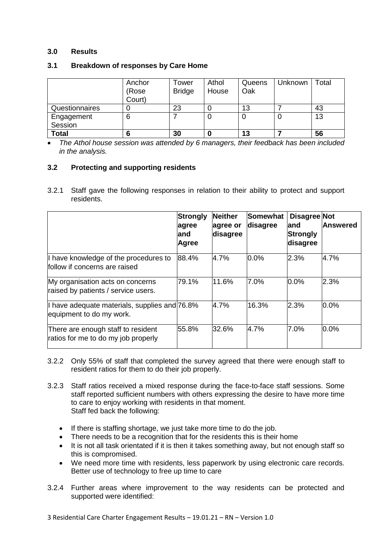#### **3.0 Results**

|                       | Anchor<br>(Rose<br>Court) | Гоwer<br><b>Bridge</b> | Athol<br>House | Queens<br>Oak | Unknown | Total |
|-----------------------|---------------------------|------------------------|----------------|---------------|---------|-------|
| Questionnaires        | U                         | 23                     |                | 13            |         | 43    |
| Engagement<br>Session | 6                         |                        |                | U             | υ       | 13    |
| <b>Total</b>          | 6                         | 30                     |                | 13            |         | 56    |

#### **3.1 Breakdown of responses by Care Home**

 *The Athol house session was attended by 6 managers, their feedback has been included in the analysis.* 

#### **3.2 Protecting and supporting residents**

3.2.1 Staff gave the following responses in relation to their ability to protect and support residents.

|                                                                           | Strongly<br>agree<br>land<br><b>Agree</b> | <b>Neither</b><br>agree or<br>disagree | Somewhat<br>disagree | Disagree Not<br>land<br>Strongly<br>disagree | lAnswered |
|---------------------------------------------------------------------------|-------------------------------------------|----------------------------------------|----------------------|----------------------------------------------|-----------|
| I have knowledge of the procedures to<br>follow if concerns are raised    | 88.4%                                     | 4.7%                                   | 0.0%                 | 2.3%                                         | 4.7%      |
| My organisation acts on concerns<br>raised by patients / service users.   | 79.1%                                     | 11.6%                                  | 7.0%                 | $0.0\%$                                      | 2.3%      |
| I have adequate materials, supplies and 76.8%<br>equipment to do my work. |                                           | 4.7%                                   | 16.3%                | 2.3%                                         | $0.0\%$   |
| There are enough staff to resident<br>ratios for me to do my job properly | 55.8%                                     | 32.6%                                  | 4.7%                 | 7.0%                                         | $0.0\%$   |

- 3.2.2 Only 55% of staff that completed the survey agreed that there were enough staff to resident ratios for them to do their job properly.
- 3.2.3 Staff ratios received a mixed response during the face-to-face staff sessions. Some staff reported sufficient numbers with others expressing the desire to have more time to care to enjoy working with residents in that moment. Staff fed back the following:
	- If there is staffing shortage, we just take more time to do the job.
	- There needs to be a recognition that for the residents this is their home
	- It is not all task orientated if it is then it takes something away, but not enough staff so this is compromised.
	- We need more time with residents, less paperwork by using electronic care records. Better use of technology to free up time to care
- 3.2.4 Further areas where improvement to the way residents can be protected and supported were identified: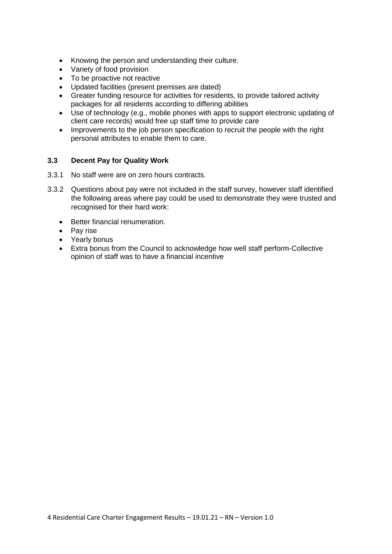- Knowing the person and understanding their culture.
- Variety of food provision
- To be proactive not reactive
- Updated facilities (present premises are dated)
- Greater funding resource for activities for residents, to provide tailored activity packages for all residents according to differing abilities
- Use of technology (e.g., mobile phones with apps to support electronic updating of client care records) would free up staff time to provide care
- Improvements to the job person specification to recruit the people with the right personal attributes to enable them to care.

### **3.3 Decent Pay for Quality Work**

- 3.3.1 No staff were are on zero hours contracts.
- 3.3.2 Questions about pay were not included in the staff survey, however staff identified the following areas where pay could be used to demonstrate they were trusted and recognised for their hard work:
	- Better financial renumeration.
	- Pay rise
	- Yearly bonus
	- Extra bonus from the Council to acknowledge how well staff perform-Collective opinion of staff was to have a financial incentive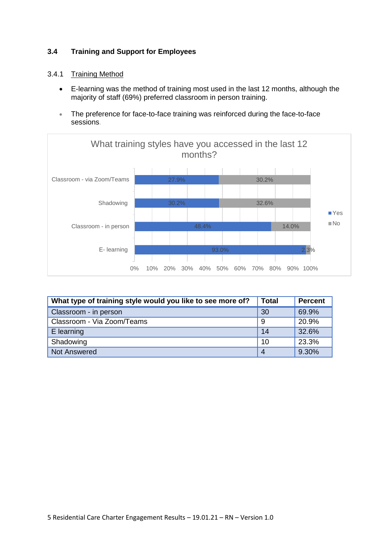# **3.4 Training and Support for Employees**

# 3.4.1 Training Method

- E-learning was the method of training most used in the last 12 months, although the majority of staff (69%) preferred classroom in person training.
- The preference for face-to-face training was reinforced during the face-to-face sessions.



| What type of training style would you like to see more of? | <b>Total</b>   | <b>Percent</b> |
|------------------------------------------------------------|----------------|----------------|
| Classroom - in person                                      | 30             | 69.9%          |
| Classroom - Via Zoom/Teams                                 | -9             | 20.9%          |
| E learning                                                 | 14             | 32.6%          |
| Shadowing                                                  | 10             | 23.3%          |
| <b>Not Answered</b>                                        | $\overline{A}$ | 9.30%          |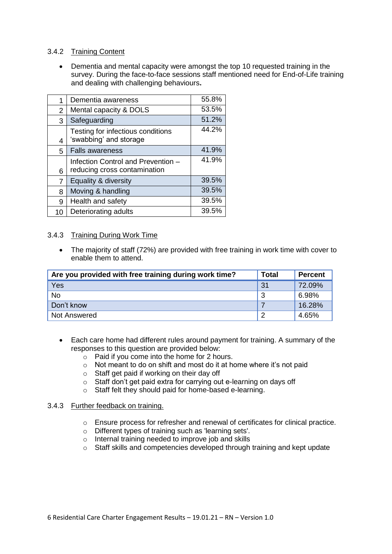# 3.4.2 Training Content

 Dementia and mental capacity were amongst the top 10 requested training in the survey. During the face-to-face sessions staff mentioned need for End-of-Life training and dealing with challenging behaviours**.** 

|    | Dementia awareness                                                 | 55.8% |
|----|--------------------------------------------------------------------|-------|
| 2  | Mental capacity & DOLS                                             | 53.5% |
| 3  | Safeguarding                                                       | 51.2% |
| 4  | Testing for infectious conditions<br>'swabbing' and storage        | 44.2% |
| 5  | <b>Falls awareness</b>                                             | 41.9% |
| 6  | Infection Control and Prevention -<br>reducing cross contamination | 41.9% |
| 7  | Equality & diversity                                               | 39.5% |
| 8  | Moving & handling                                                  | 39.5% |
| 9  | Health and safety                                                  | 39.5% |
| 10 | Deteriorating adults                                               | 39.5% |

#### 3.4.3 Training During Work Time

• The majority of staff (72%) are provided with free training in work time with cover to enable them to attend.

| Are you provided with free training during work time? |     | <b>Percent</b> |
|-------------------------------------------------------|-----|----------------|
| Yes                                                   | 31  | 72.09%         |
| <b>No</b>                                             | 3   | 6.98%          |
| Don't know                                            |     | 16.28%         |
| <b>Not Answered</b>                                   | - 2 | 4.65%          |

- Each care home had different rules around payment for training. A summary of the responses to this question are provided below:
	- $\circ$  Paid if you come into the home for 2 hours.
	- o Not meant to do on shift and most do it at home where it's not paid
	- o Staff get paid if working on their day off
	- o Staff don't get paid extra for carrying out e-learning on days off
	- o Staff felt they should paid for home-based e-learning.

#### 3.4.3 Further feedback on training.

- $\circ$  Ensure process for refresher and renewal of certificates for clinical practice.
- o Different types of training such as 'learning sets'.
- o Internal training needed to improve job and skills
- o Staff skills and competencies developed through training and kept update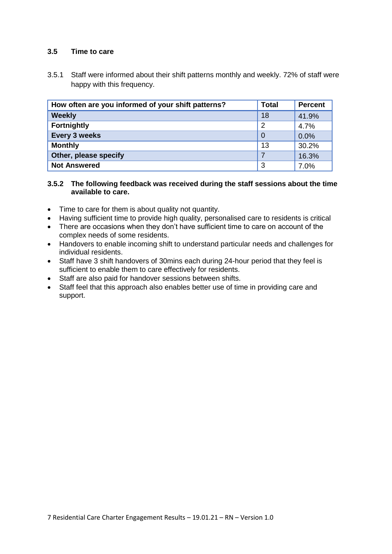## **3.5 Time to care**

3.5.1 Staff were informed about their shift patterns monthly and weekly. 72% of staff were happy with this frequency.

| How often are you informed of your shift patterns? | <b>Total</b> | <b>Percent</b> |
|----------------------------------------------------|--------------|----------------|
| <b>Weekly</b>                                      | 18           | 41.9%          |
| <b>Fortnightly</b>                                 | 2            | 4.7%           |
| <b>Every 3 weeks</b>                               | $\Omega$     | 0.0%           |
| <b>Monthly</b>                                     | 13           | 30.2%          |
| Other, please specify                              | $\mathbf{z}$ | 16.3%          |
| <b>Not Answered</b>                                | 3            | 7.0%           |

#### **3.5.2 The following feedback was received during the staff sessions about the time available to care.**

- Time to care for them is about quality not quantity.
- Having sufficient time to provide high quality, personalised care to residents is critical
- There are occasions when they don't have sufficient time to care on account of the complex needs of some residents.
- Handovers to enable incoming shift to understand particular needs and challenges for individual residents.
- Staff have 3 shift handovers of 30mins each during 24-hour period that they feel is sufficient to enable them to care effectively for residents.
- Staff are also paid for handover sessions between shifts.
- Staff feel that this approach also enables better use of time in providing care and support.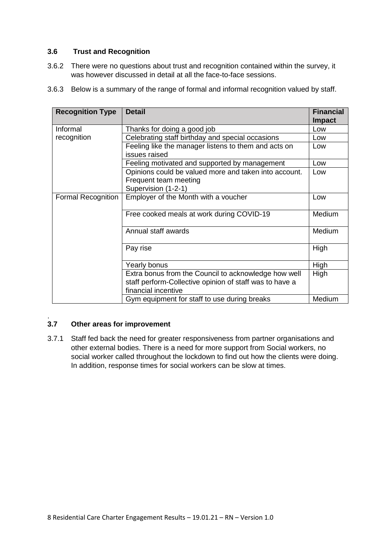### **3.6 Trust and Recognition**

- 3.6.2 There were no questions about trust and recognition contained within the survey, it was however discussed in detail at all the face-to-face sessions.
- 3.6.3 Below is a summary of the range of formal and informal recognition valued by staff.

| <b>Recognition Type</b>   | <b>Detail</b>                                                         | <b>Financial</b><br><b>Impact</b> |
|---------------------------|-----------------------------------------------------------------------|-----------------------------------|
| Informal                  | Thanks for doing a good job                                           | Low                               |
| recognition               | Celebrating staff birthday and special occasions                      | Low                               |
|                           | Feeling like the manager listens to them and acts on<br>issues raised | Low                               |
|                           | Feeling motivated and supported by management                         | Low                               |
|                           | Opinions could be valued more and taken into account.                 | Low                               |
|                           | Frequent team meeting                                                 |                                   |
|                           | Supervision (1-2-1)                                                   |                                   |
| <b>Formal Recognition</b> | Employer of the Month with a voucher                                  | Low                               |
|                           | Free cooked meals at work during COVID-19                             | Medium                            |
|                           | Annual staff awards                                                   | Medium                            |
|                           | Pay rise                                                              | High                              |
|                           | Yearly bonus                                                          | High                              |
|                           | Extra bonus from the Council to acknowledge how well                  | High                              |
|                           | staff perform-Collective opinion of staff was to have a               |                                   |
|                           | financial incentive                                                   |                                   |
|                           | Gym equipment for staff to use during breaks                          | Medium                            |

#### $3.7$ **3.7 Other areas for improvement**

3.7.1 Staff fed back the need for greater responsiveness from partner organisations and other external bodies. There is a need for more support from Social workers, no social worker called throughout the lockdown to find out how the clients were doing. In addition, response times for social workers can be slow at times.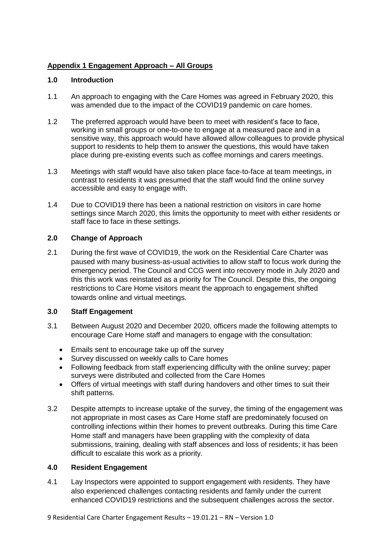# **Appendix 1 Engagement Approach – All Groups**

### **1.0 Introduction**

- 1.1 An approach to engaging with the Care Homes was agreed in February 2020, this was amended due to the impact of the COVID19 pandemic on care homes.
- 1.2 The preferred approach would have been to meet with resident's face to face, working in small groups or one-to-one to engage at a measured pace and in a sensitive way, this approach would have allowed allow colleagues to provide physical support to residents to help them to answer the questions, this would have taken place during pre-existing events such as coffee mornings and carers meetings.
- 1.3 Meetings with staff would have also taken place face-to-face at team meetings, in contrast to residents it was presumed that the staff would find the online survey accessible and easy to engage with.
- 1.4 Due to COVID19 there has been a national restriction on visitors in care home settings since March 2020, this limits the opportunity to meet with either residents or staff face to face in these settings.

### **2.0 Change of Approach**

2.1 During the first wave of COVID19, the work on the Residential Care Charter was paused with many business-as-usual activities to allow staff to focus work during the emergency period. The Council and CCG went into recovery mode in July 2020 and this this work was reinstated as a priority for The Council. Despite this, the ongoing restrictions to Care Home visitors meant the approach to engagement shifted towards online and virtual meetings.

#### **3.0 Staff Engagement**

- 3.1 Between August 2020 and December 2020, officers made the following attempts to encourage Care Home staff and managers to engage with the consultation:
	- Emails sent to encourage take up off the survey
	- Survey discussed on weekly calls to Care homes
	- Following feedback from staff experiencing difficulty with the online survey; paper surveys were distributed and collected from the Care Homes
	- Offers of virtual meetings with staff during handovers and other times to suit their shift patterns.
- 3.2 Despite attempts to increase uptake of the survey, the timing of the engagement was not appropriate in most cases as Care Home staff are predominately focused on controlling infections within their homes to prevent outbreaks. During this time Care Home staff and managers have been grappling with the complexity of data submissions, training, dealing with staff absences and loss of residents; it has been difficult to escalate this work as a priority.

# **4.0 Resident Engagement**

4.1 Lay Inspectors were appointed to support engagement with residents. They have also experienced challenges contacting residents and family under the current enhanced COVID19 restrictions and the subsequent challenges across the sector.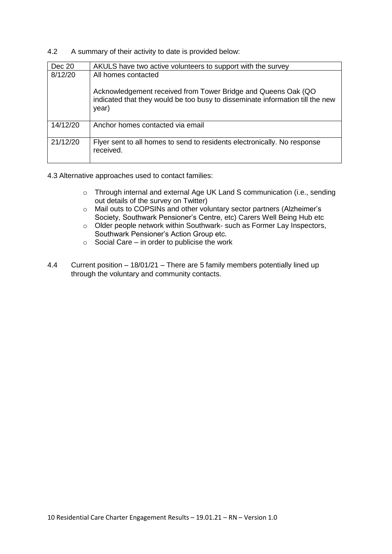4.2 A summary of their activity to date is provided below:

| Dec 20   | AKULS have two active volunteers to support with the survey                                                                                             |
|----------|---------------------------------------------------------------------------------------------------------------------------------------------------------|
| 8/12/20  | All homes contacted                                                                                                                                     |
|          | Acknowledgement received from Tower Bridge and Queens Oak (QO<br>indicated that they would be too busy to disseminate information till the new<br>year) |
| 14/12/20 | Anchor homes contacted via email                                                                                                                        |
| 21/12/20 | Flyer sent to all homes to send to residents electronically. No response<br>received.                                                                   |

4.3 Alternative approaches used to contact families:

- o Through internal and external Age UK Land S communication (i.e., sending out details of the survey on Twitter)
- o Mail outs to COPSINs and other voluntary sector partners (Alzheimer's Society, Southwark Pensioner's Centre, etc) Carers Well Being Hub etc
- o Older people network within Southwark- such as Former Lay Inspectors, Southwark Pensioner's Action Group etc.
- $\circ$  Social Care in order to publicise the work
- 4.4 Current position 18/01/21 There are 5 family members potentially lined up through the voluntary and community contacts.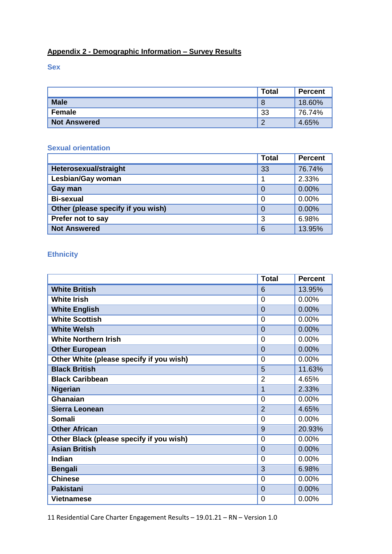# **Appendix 2 - Demographic Information – Survey Results**

**Sex**

|                     | <b>Total</b>    | <b>Percent</b> |
|---------------------|-----------------|----------------|
| <b>Male</b>         | 8               | 18.60%         |
| <b>Female</b>       | 33              | 76.74%         |
| <b>Not Answered</b> | $\sqrt{2}$<br>∠ | 4.65%          |

# **Sexual orientation**

|                                    | <b>Total</b> | <b>Percent</b> |
|------------------------------------|--------------|----------------|
| Heterosexual/straight              | 33           | 76.74%         |
| Lesbian/Gay woman                  |              | 2.33%          |
| Gay man                            | 0            | 0.00%          |
| <b>Bi-sexual</b>                   | 0            | 0.00%          |
| Other (please specify if you wish) | 0            | 0.00%          |
| Prefer not to say                  | 3            | 6.98%          |
| <b>Not Answered</b>                | 6            | 13.95%         |

# **Ethnicity**

|                                          | <b>Total</b>   | <b>Percent</b> |
|------------------------------------------|----------------|----------------|
| <b>White British</b>                     | 6              | 13.95%         |
| <b>White Irish</b>                       | $\overline{0}$ | 0.00%          |
| <b>White English</b>                     | $\overline{0}$ | 0.00%          |
| <b>White Scottish</b>                    | $\mathbf 0$    | 0.00%          |
| <b>White Welsh</b>                       | $\overline{0}$ | 0.00%          |
| <b>White Northern Irish</b>              | $\overline{0}$ | 0.00%          |
| <b>Other European</b>                    | $\overline{0}$ | 0.00%          |
| Other White (please specify if you wish) | $\overline{0}$ | 0.00%          |
| <b>Black British</b>                     | 5              | 11.63%         |
| <b>Black Caribbean</b>                   | $\overline{2}$ | 4.65%          |
| <b>Nigerian</b>                          | 1              | 2.33%          |
| Ghanaian                                 | 0              | 0.00%          |
| Sierra Leonean                           | $\overline{2}$ | 4.65%          |
| <b>Somali</b>                            | 0              | 0.00%          |
| <b>Other African</b>                     | 9              | 20.93%         |
| Other Black (please specify if you wish) | $\overline{0}$ | 0.00%          |
| <b>Asian British</b>                     | $\overline{0}$ | 0.00%          |
| Indian                                   | $\overline{0}$ | 0.00%          |
| <b>Bengali</b>                           | 3              | 6.98%          |
| <b>Chinese</b>                           | 0              | 0.00%          |
| <b>Pakistani</b>                         | $\overline{0}$ | 0.00%          |
| <b>Vietnamese</b>                        | $\overline{0}$ | 0.00%          |

11 Residential Care Charter Engagement Results – 19.01.21 – RN – Version 1.0